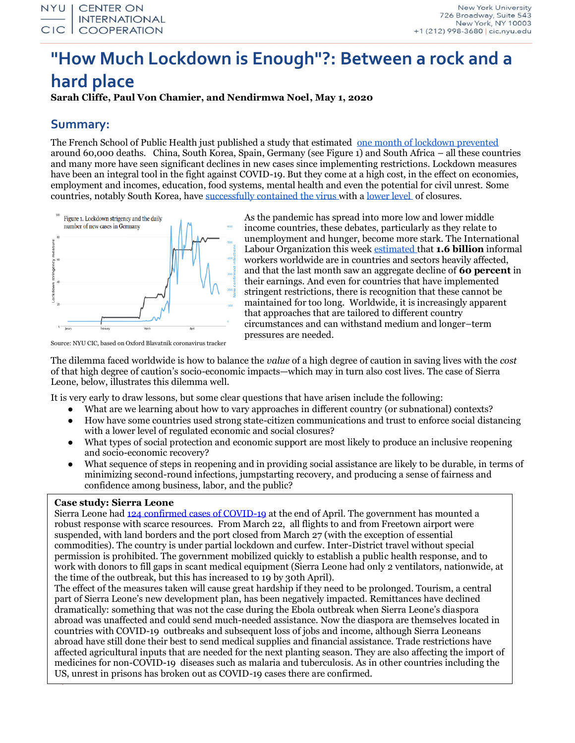# **"How Much Lockdown is Enough"?: Between a rock and a hard place**

**Sarah Cliffe, Paul Von Chamier, and Nendirmwa Noel, May 1, 2020**

### **Summary:**

The French School of Public Health just published a study that estimated [one month of lockdown prevented](https://www.france24.com/en/20200424-lockdown-saved-as-many-as-60-000-lives-in-france-study-shows) around 60,000 deaths. China, South Korea, Spain, Germany (see Figure 1) and South Africa – all these countries and many more have seen significant declines in new cases since implementing restrictions. Lockdown measures have been an integral tool in the fight against COVID-19. But they come at a high cost, in the effect on economies, employment and incomes, education, food systems, mental health and even the potential for civil unrest. Some countries, notably South Korea, have [successfully contained the virus w](https://abcnews.go.com/Health/trust-testing-tracing-south-korea-succeeded-us-stumbled/story?id=70433504)ith [a lower level](https://time.com/5830594/south-korea-covid19-coronavirus/) of closures.



As the pandemic has spread into more low and lower middle income countries, these debates, particularly as they relate to unemployment and hunger, become more stark. The International Labour Organization this week [estimated t](https://www.ilo.org/wcmsp5/groups/public/---dgreports/---dcomm/documents/briefingnote/wcms_743146.pdf)hat **1.6 billion** informal workers worldwide are in countries and sectors heavily affected, and that the last month saw an aggregate decline of **60 percent** in their earnings. And even for countries that have implemented stringent restrictions, there is recognition that these cannot be maintained for too long. Worldwide, it is increasingly apparent that approaches that are tailored to different country circumstances and can withstand medium and longer–term pressures are needed.

Source: NYU CIC, based on Oxford Blavatnik coronavirus tracker

The dilemma faced worldwide is how to balance the *value* of a high degree of caution in saving lives with the *cost* of that high degree of caution's socio-economic impacts—which may in turn also cost lives. The case of Sierra Leone, below, illustrates this dilemma well.

It is very early to draw lessons, but some clear questions that have arisen include the following:

- What are we learning about how to vary approaches in different country (or subnational) contexts?
- How have some countries used strong state-citizen communications and trust to enforce social distancing with a lower level of regulated economic and social closures?
- What types of social protection and economic support are most likely to produce an inclusive reopening and socio-economic recovery?
- What sequence of steps in reopening and in providing social assistance are likely to be durable, in terms of minimizing second-round infections, jumpstarting recovery, and producing a sense of fairness and confidence among business, labor, and the public?

#### **Case study: Sierra Leone**

Sierra Leone had [124 confirmed cases of COVID-19](https://coronavirus.jhu.edu/map.html) at the end of April. The government has mounted a robust response with scarce resources. From March 22, all flights to and from Freetown airport were suspended, with land borders and the port closed from March 27 (with the exception of essential commodities). The country is under partial lockdown and curfew. Inter-District travel without special permission is prohibited. The government mobilized quickly to establish a public health response, and to work with donors to fill gaps in scant medical equipment (Sierra Leone had only 2 ventilators, nationwide, at the time of the outbreak, but this has increased to 19 by 30th April).

US, unrest in prisons has broken out as COVID-19 cases there are confirmed. The effect of the measures taken will cause great hardship if they need to be prolonged. Tourism, a central part of Sierra Leone's new development plan, has been negatively impacted. Remittances have declined dramatically: something that was not the case during the Ebola outbreak when Sierra Leone's diaspora abroad was unaffected and could send much-needed assistance. Now the diaspora are themselves located in countries with COVID-19 outbreaks and subsequent loss of jobs and income, although Sierra Leoneans abroad have still done their best to send medical supplies and financial assistance. Trade restrictions have affected agricultural inputs that are needed for the next planting season. They are also affecting the import of medicines for non-COVID-19 diseases such as malaria and tuberculosis. As in other countries including the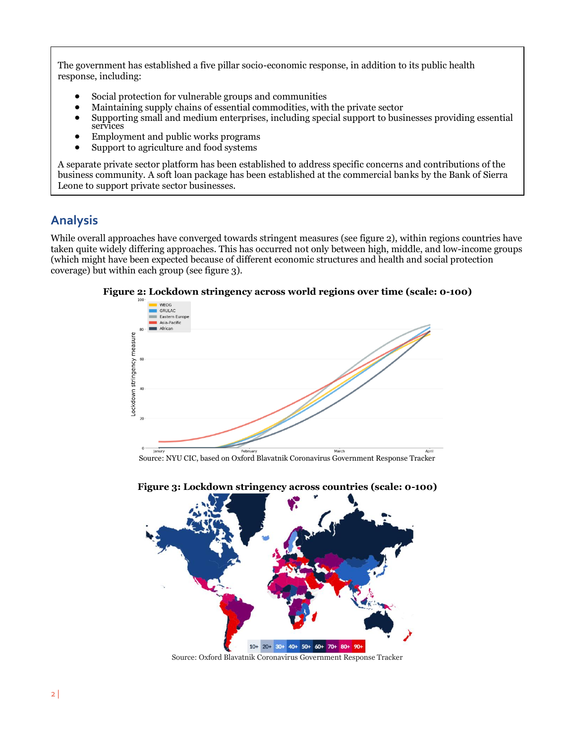The government has established a five pillar socio-economic response, in addition to its public health response, including:

- Social protection for vulnerable groups and communities
- Maintaining supply chains of essential commodities, with the private sector
- Supporting small and medium enterprises, including special support to businesses providing essential services
- Employment and public works programs
- Support to agriculture and food systems

A separate private sector platform has been established to address specific concerns and contributions of the business community. A soft loan package has been established at the commercial banks by the Bank of Sierra Leone to support private sector businesses.

## **Analysis**

While overall approaches have converged towards stringent measures (see figure 2), within regions countries have taken quite widely differing approaches. This has occurred not only between high, middle, and low-income groups (which might have been expected because of different economic structures and health and social protection coverage) but within each group (see figure 3).



**Figure 2: Lockdown stringency across world regions over time (scale: 0-100)**



Source: Oxford Blavatnik Coronavirus Government Response Tracker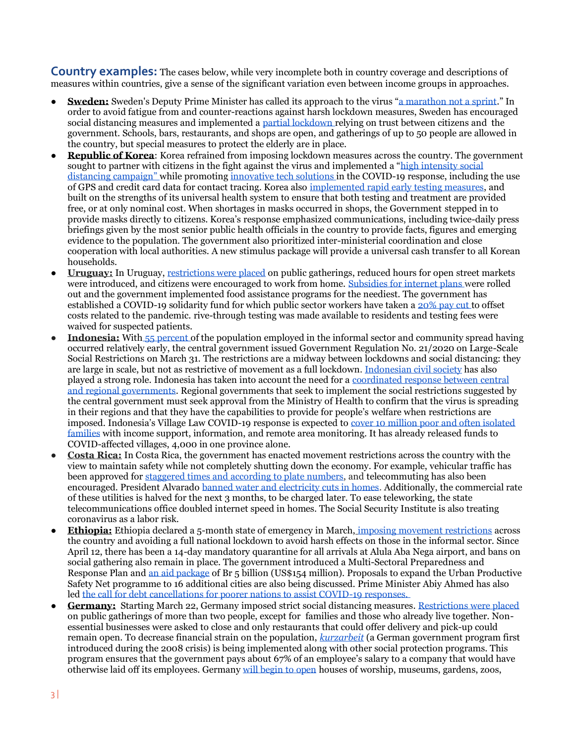**Country examples:** The cases below, while very incomplete both in country coverage and descriptions of measures within countries, give a sense of the significant variation even between income groups in approaches.

- **Sweden:** Sweden's Deputy Prime Minister has called its approach to the virus "a [marathon not a sprint](https://www.thelocal.se/20200425/interview-were-working-day-and-night-to-save-jobs-and-that-includes-foreign-workers-isabella-lovin-coronavirus-sweden)." In order to avoid fatigue from and counter-reactions against harsh lockdown measures, Sweden has encouraged social distancing measures and implemented a [partial lockdown r](https://www.politico.eu/article/swedish-deputy-pm-warns-of-counter-reaction-to-harsh-lockdown-measures/)elying on trust between citizens and the government. Schools, bars, restaurants, and shops are open, and gatherings of up to 50 people are allowed in the country, but special measures to protect the elderly are in place.
- **Republic of Korea:** Korea refrained from imposing lockdown measures across the country. The government sought to partner with citizens in the fight against the virus and implemented a "[high intensity social](http://www.koreaherald.com/view.php?ud=20200413000700)  [distancing campaign"](http://www.koreaherald.com/view.php?ud=20200413000700) while promotin[g innovative tech solutions i](https://www.straitstimes.com/asia/east-asia/south-korea-throws-up-innovative-tech-solutions-in-coronavirus-fight)n the COVID-19 response, including the use of GPS and credit card data for contact tracing. Korea also [implemented rapid early testing measures,](https://www.straitstimes.com/asia/east-asia/south-korea-throws-up-innovative-tech-solutions-in-coronavirus-fight) and built on the strengths of its universal health system to ensure that both testing and treatment are provided free, or at only nominal cost. When shortages in masks occurred in shops, the Government stepped in to provide masks directly to citizens. Korea's response emphasized communications, including twice-daily press briefings given by the most senior public health officials in the country to provide facts, figures and emerging evidence to the population. The government also prioritized inter-ministerial coordination and close cooperation with local authorities. A new stimulus package will provide a universal cash transfer to all Korean households.
- **Uruguay:** In Uruguay, [restrictions were placed](https://www.worldaware.com/covid-19-alert-uruguay-imposes-movement-restrictions-april-3) on public gatherings, reduced hours for open street markets were introduced, and citizens were encouraged to work from home. [Subsidies for internet plans w](https://www.cepal.org/en/topics/covid-19)ere rolled out and the government implemented food assistance programs for the neediest. The government has established a COVID-19 solidarity fund for which public sector workers have taken a [20% pay cut t](https://parlamento.gub.uy/noticiasyeventos/noticias/node/92791)o offset costs related to the pandemic. rive-through testing was made available to residents and testing fees were waived for suspected patients.
- **Indonesia:** With [55 percent o](https://www.newmandala.org/can-indonesias-fight-against-covid-19-overcome-troubled-central-regional-coordination/)f the population employed in the informal sector and community spread having occurred relatively early, the central government issued Government Regulation No. 21/2020 on Large-Scale Social Restrictions on March 31. The restrictions are a midway between lockdowns and social distancing: they are large in scale, but not as restrictive of movement as a full lockdown[. Indonesian civil society](https://thediplomat.com/2020/04/indonesia-and-covid-19-what-the-world-is-missing/) has also played a strong role. Indonesia has taken into account the need for a [coordinated response between central](https://www.newmandala.org/can-indonesias-fight-against-covid-19-overcome-troubled-central-regional-coordination/)  [and regional governments.](https://www.newmandala.org/can-indonesias-fight-against-covid-19-overcome-troubled-central-regional-coordination/) Regional governments that seek to implement the social restrictions suggested by the central government must seek approval from the Ministry of Health to confirm that the virus is spreading in their regions and that they have the capabilities to provide for people's welfare when restrictions are imposed. Indonesia's Village Law COVID-19 response is expected t[o cover 10 million poor and often isolated](https://cic.nyu.edu/sites/default/files/covid-and-community-responses-web.pdf)  [families](https://cic.nyu.edu/sites/default/files/covid-and-community-responses-web.pdf) with income support, information, and remote area monitoring. It has already released funds to COVID-affected villages, 4,000 in one province alone.
- **Costa Rica:** In Costa Rica, the government has enacted movement restrictions across the country with the view to maintain safety while not completely shutting down the economy. For example, vehicular traffic has been approved for [staggered times and according to plate numbers,](https://www.presidencia.go.cr/comunicados/2020/04/nuevas-medidas-de-restriccion-aplicaran-del-13-al-30-de-abril/) and telecommuting has also been encouraged. President Alvarado [banned water and electricity cuts in homes.](https://elpais.com/sociedad/2020-03-23/costa-rica-un-destino-diferente-por-el-coronavirus.html) Additionally, the commercial rate of these utilities is halved for the next 3 months, to be charged later. To ease teleworking, the state telecommunications office doubled internet speed in homes. The Social Security Institute is also treating coronavirus as a labor risk.
- **Ethiopia:** Ethiopia declared a 5-month state of emergency in March[,](https://www.worldaware.com/covid-19-alert-ethiopia-declares-state-emergency-april-8) [imposing movement restrictions](https://www.worldaware.com/covid-19-alert-ethiopia-declares-state-emergency-april-8) across the country and avoiding a full national lockdown to avoid harsh effects on those in the informal sector. Since April 12, there has been a 14-day mandatory quarantine for all arrivals at Alula Aba Nega airport, and bans on social gathering also remain in place. The government introduced a Multi-Sectoral Preparedness and Response Plan and [an aid package](https://www.uncdf.org/article/5528/ethiopian-government-on-the-forefront-of-covid-19) of Br 5 billion (US\$154 million). Proposals to expand the Urban Productive Safety Net programme to 16 additional cities are also being discussed. Prime Minister Abiy Ahmed has also led [the call for debt cancellations for poorer nations to assist COVID-19 responses.](https://www.nytimes.com/2020/04/30/opinion/coronavirus-debt-africa.html?referringSource=articleShare)
- **Germany:** Starting March 22, Germany imposed strict social distancing measures. Restrictions were placed on public gatherings of more than two people, except for families and those who already live together. Nonessential businesses were asked to close and only restaurants that could offer delivery and pick-up could remain open. To decrease financial strain on the population, *[kurzarbeit](https://www.cnbc.com/2020/04/03/kurzarbeit-germany-is-using-a-familiar-weapon-to-prevent-layoffs.html)* (a German government program first introduced during the 2008 crisis) is being implemented along with other social protection programs. This program ensures that the government pays about 67% of an employee's salary to a company that would have otherwise laid off its employees. Germany [will begin to open](https://www.dw.com/en/germany-lifts-coronavirus-ban-on-religious-services-opens-up-playgrounds-parks/a-53293936) houses of worship, museums, gardens, zoos,